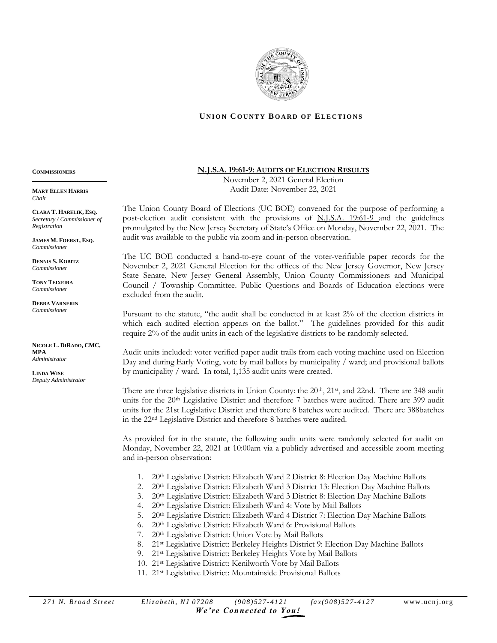

## **UNION COUNTY BOARD OF ELECTIONS**

**COMMISSIONERS**

**MARY ELLEN HARRIS** *Chair*

**CLARA T. HARELIK, ESQ.** *Secretary / Commissioner of Registration*

**\_\_\_\_\_\_\_\_\_\_\_\_\_\_\_\_\_\_\_\_\_\_\_\_\_\_**

**JAMES M. FOERST, ESQ.** *Commissioner*

**DENNIS S. KOBITZ** *Commissioner*

**TONY TEIXEIRA** *Commissioner*

**DEBRA VARNERIN** *Commissioner*

**NICOLE L. DIRADO, CMC, MPA** *Administrator*

**LINDA WISE** *Deputy Administrator*

## **N.J.S.A.19:61-9: AUDITS OF ELECTION RESULTS**

November 2, 2021 General Election Audit Date: November 22, 2021

The Union County Board of Elections (UC BOE) convened for the purpose of performing a post-election audit consistent with the provisions of N.J.S.A. 19:61-9 and the guidelines promulgated by the New Jersey Secretary of State's Office on Monday, November 22, 2021. The audit was available to the public via zoom and in-person observation.

The UC BOE conducted a hand-to-eye count of the voter-verifiable paper records for the November 2, 2021 General Election for the offices of the New Jersey Governor, New Jersey State Senate, New Jersey General Assembly, Union County Commissioners and Municipal Council / Township Committee. Public Questions and Boards of Education elections were excluded from the audit.

Pursuant to the statute, "the audit shall be conducted in at least 2% of the election districts in which each audited election appears on the ballot." The guidelines provided for this audit require 2% of the audit units in each of the legislative districts to be randomly selected.

Audit units included: voter verified paper audit trails from each voting machine used on Election Day and during Early Voting, vote by mail ballots by municipality / ward; and provisional ballots by municipality / ward. In total, 1,135 audit units were created.

There are three legislative districts in Union County: the 20<sup>th</sup>, 21<sup>st</sup>, and 22nd. There are 348 audit units for the  $20<sup>th</sup>$  Legislative District and therefore 7 batches were audited. There are 399 audit units for the 21st Legislative District and therefore 8 batches were audited. There are 388batches in the 22nd Legislative District and therefore 8 batches were audited.

As provided for in the statute, the following audit units were randomly selected for audit on Monday, November 22, 2021 at 10:00am via a publicly advertised and accessible zoom meeting and in-person observation:

- 1. 20th Legislative District: Elizabeth Ward 2 District 8: Election Day Machine Ballots
- 2. 20<sup>th</sup> Legislative District: Elizabeth Ward 3 District 13: Election Day Machine Ballots
- 3. 20th Legislative District: Elizabeth Ward 3 District 8: Election Day Machine Ballots
- 4. 20th Legislative District: Elizabeth Ward 4: Vote by Mail Ballots
- 5. 20th Legislative District: Elizabeth Ward 4 District 7: Election Day Machine Ballots
- 6. 20th Legislative District: Elizabeth Ward 6: Provisional Ballots
- 7. 20th Legislative District: Union Vote by Mail Ballots
- 8. 21<sup>st</sup> Legislative District: Berkeley Heights District 9: Election Day Machine Ballots
- 9. 21st Legislative District: Berkeley Heights Vote by Mail Ballots
- 10. 21st Legislative District: Kenilworth Vote by Mail Ballots
- 11. 21st Legislative District: Mountainside Provisional Ballots